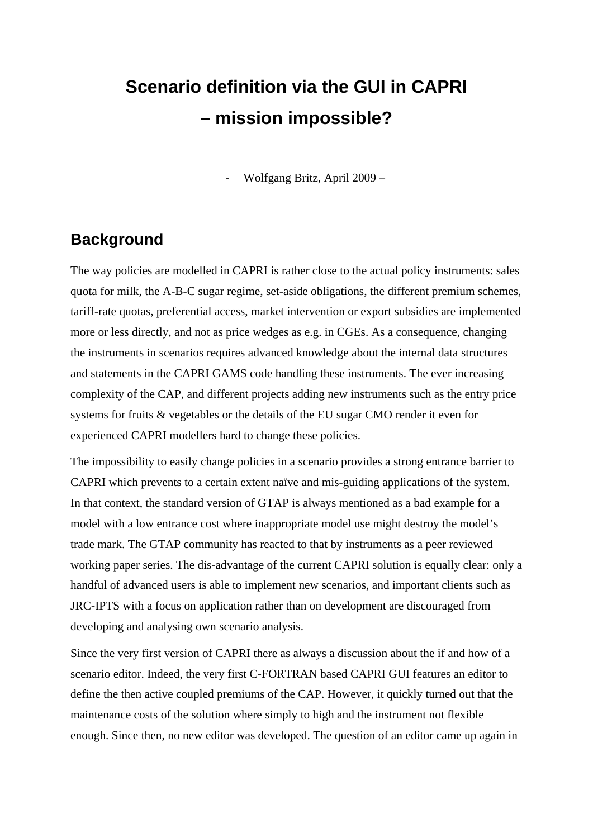## **Scenario definition via the GUI in CAPRI – mission impossible?**

- Wolfgang Britz, April 2009 –

## **Background**

The way policies are modelled in CAPRI is rather close to the actual policy instruments: sales quota for milk, the A-B-C sugar regime, set-aside obligations, the different premium schemes, tariff-rate quotas, preferential access, market intervention or export subsidies are implemented more or less directly, and not as price wedges as e.g. in CGEs. As a consequence, changing the instruments in scenarios requires advanced knowledge about the internal data structures and statements in the CAPRI GAMS code handling these instruments. The ever increasing complexity of the CAP, and different projects adding new instruments such as the entry price systems for fruits & vegetables or the details of the EU sugar CMO render it even for experienced CAPRI modellers hard to change these policies.

The impossibility to easily change policies in a scenario provides a strong entrance barrier to CAPRI which prevents to a certain extent naïve and mis-guiding applications of the system. In that context, the standard version of GTAP is always mentioned as a bad example for a model with a low entrance cost where inappropriate model use might destroy the model's trade mark. The GTAP community has reacted to that by instruments as a peer reviewed working paper series. The dis-advantage of the current CAPRI solution is equally clear: only a handful of advanced users is able to implement new scenarios, and important clients such as JRC-IPTS with a focus on application rather than on development are discouraged from developing and analysing own scenario analysis.

Since the very first version of CAPRI there as always a discussion about the if and how of a scenario editor. Indeed, the very first C-FORTRAN based CAPRI GUI features an editor to define the then active coupled premiums of the CAP. However, it quickly turned out that the maintenance costs of the solution where simply to high and the instrument not flexible enough. Since then, no new editor was developed. The question of an editor came up again in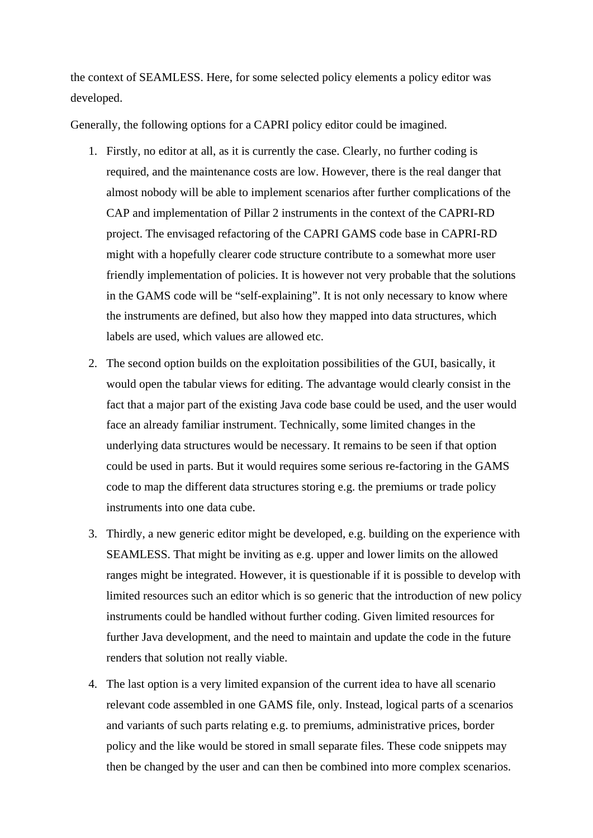the context of SEAMLESS. Here, for some selected policy elements a policy editor was developed.

Generally, the following options for a CAPRI policy editor could be imagined.

- 1. Firstly, no editor at all, as it is currently the case. Clearly, no further coding is required, and the maintenance costs are low. However, there is the real danger that almost nobody will be able to implement scenarios after further complications of the CAP and implementation of Pillar 2 instruments in the context of the CAPRI-RD project. The envisaged refactoring of the CAPRI GAMS code base in CAPRI-RD might with a hopefully clearer code structure contribute to a somewhat more user friendly implementation of policies. It is however not very probable that the solutions in the GAMS code will be "self-explaining". It is not only necessary to know where the instruments are defined, but also how they mapped into data structures, which labels are used, which values are allowed etc.
- 2. The second option builds on the exploitation possibilities of the GUI, basically, it would open the tabular views for editing. The advantage would clearly consist in the fact that a major part of the existing Java code base could be used, and the user would face an already familiar instrument. Technically, some limited changes in the underlying data structures would be necessary. It remains to be seen if that option could be used in parts. But it would requires some serious re-factoring in the GAMS code to map the different data structures storing e.g. the premiums or trade policy instruments into one data cube.
- 3. Thirdly, a new generic editor might be developed, e.g. building on the experience with SEAMLESS. That might be inviting as e.g. upper and lower limits on the allowed ranges might be integrated. However, it is questionable if it is possible to develop with limited resources such an editor which is so generic that the introduction of new policy instruments could be handled without further coding. Given limited resources for further Java development, and the need to maintain and update the code in the future renders that solution not really viable.
- 4. The last option is a very limited expansion of the current idea to have all scenario relevant code assembled in one GAMS file, only. Instead, logical parts of a scenarios and variants of such parts relating e.g. to premiums, administrative prices, border policy and the like would be stored in small separate files. These code snippets may then be changed by the user and can then be combined into more complex scenarios.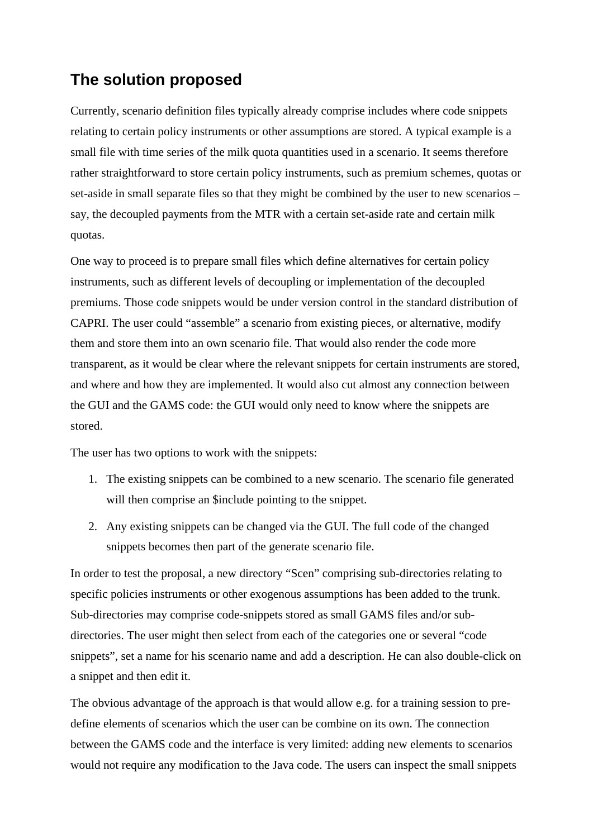## **The solution proposed**

Currently, scenario definition files typically already comprise includes where code snippets relating to certain policy instruments or other assumptions are stored. A typical example is a small file with time series of the milk quota quantities used in a scenario. It seems therefore rather straightforward to store certain policy instruments, such as premium schemes, quotas or set-aside in small separate files so that they might be combined by the user to new scenarios – say, the decoupled payments from the MTR with a certain set-aside rate and certain milk quotas.

One way to proceed is to prepare small files which define alternatives for certain policy instruments, such as different levels of decoupling or implementation of the decoupled premiums. Those code snippets would be under version control in the standard distribution of CAPRI. The user could "assemble" a scenario from existing pieces, or alternative, modify them and store them into an own scenario file. That would also render the code more transparent, as it would be clear where the relevant snippets for certain instruments are stored, and where and how they are implemented. It would also cut almost any connection between the GUI and the GAMS code: the GUI would only need to know where the snippets are stored.

The user has two options to work with the snippets:

- 1. The existing snippets can be combined to a new scenario. The scenario file generated will then comprise an \$include pointing to the snippet.
- 2. Any existing snippets can be changed via the GUI. The full code of the changed snippets becomes then part of the generate scenario file.

In order to test the proposal, a new directory "Scen" comprising sub-directories relating to specific policies instruments or other exogenous assumptions has been added to the trunk. Sub-directories may comprise code-snippets stored as small GAMS files and/or subdirectories. The user might then select from each of the categories one or several "code snippets", set a name for his scenario name and add a description. He can also double-click on a snippet and then edit it.

The obvious advantage of the approach is that would allow e.g. for a training session to predefine elements of scenarios which the user can be combine on its own. The connection between the GAMS code and the interface is very limited: adding new elements to scenarios would not require any modification to the Java code. The users can inspect the small snippets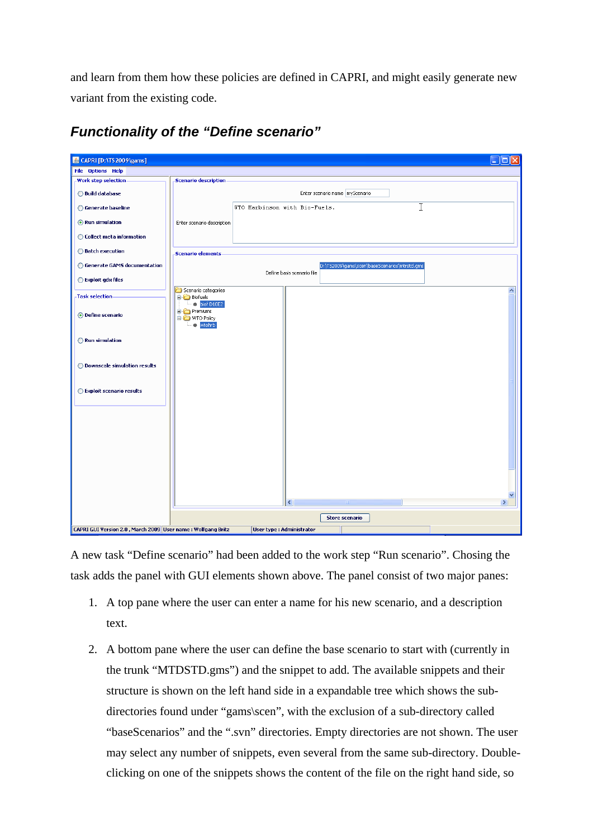and learn from them how these policies are defined in CAPRI, and might easily generate new variant from the existing code.

| & CAPRI [D:\TS2009\gams]                                    |                                                                            |                                 |   |                                |   | $\Box$ $\Box$ $\times$ |  |  |  |  |
|-------------------------------------------------------------|----------------------------------------------------------------------------|---------------------------------|---|--------------------------------|---|------------------------|--|--|--|--|
| <b>File Options Help</b>                                    |                                                                            |                                 |   |                                |   |                        |  |  |  |  |
| <b>Work step selection</b>                                  | <b>Scenario description</b>                                                |                                 |   |                                |   |                        |  |  |  |  |
| ◯ Build database                                            |                                                                            |                                 |   | Enter scenario name myScenario |   |                        |  |  |  |  |
| ◯ Generate baseline                                         |                                                                            | WTO Harbinson with Bio-Fuels.   |   |                                | I |                        |  |  |  |  |
| Run simulation                                              | Enter scenario description                                                 |                                 |   |                                |   |                        |  |  |  |  |
| ◯ Collect meta information                                  |                                                                            |                                 |   |                                |   |                        |  |  |  |  |
| ◯ Batch execution                                           | <b>Scenario elements</b>                                                   |                                 |   |                                |   |                        |  |  |  |  |
| ◯ Generate GAMS documentation                               | D:\TS2009\gams\scen\baseScenarios\mtrstd.gms<br>Define basis scenario file |                                 |   |                                |   |                        |  |  |  |  |
| ◯ Exploit gdx files                                         | Scenario categories                                                        |                                 |   |                                |   | ㅅ                      |  |  |  |  |
| <b>Task selection</b>                                       | <b>Biofuels</b><br>$ \bullet$ biof D10E2                                   |                                 |   |                                |   |                        |  |  |  |  |
| O Define scenario                                           | Premiums<br>O WTO Policy<br>wtohrb                                         |                                 |   |                                |   |                        |  |  |  |  |
| ◯ Run simulation                                            |                                                                            |                                 |   |                                |   |                        |  |  |  |  |
| ◯ Downscale simulation results                              |                                                                            |                                 |   |                                |   |                        |  |  |  |  |
| ◯ Exploit scenario results                                  |                                                                            |                                 |   |                                |   |                        |  |  |  |  |
|                                                             |                                                                            |                                 |   |                                |   |                        |  |  |  |  |
|                                                             |                                                                            |                                 |   |                                |   |                        |  |  |  |  |
|                                                             |                                                                            |                                 |   |                                |   |                        |  |  |  |  |
|                                                             |                                                                            |                                 | ∢ |                                |   | $\rightarrow$          |  |  |  |  |
|                                                             |                                                                            |                                 |   | <b>Store scenario</b>          |   |                        |  |  |  |  |
| CAPRI GUI Version 2.0, March 2009 User name: Wolfgang Britz |                                                                            | <b>User type: Administrator</b> |   |                                |   |                        |  |  |  |  |

*Functionality of the "Define scenario"* 

A new task "Define scenario" had been added to the work step "Run scenario". Chosing the task adds the panel with GUI elements shown above. The panel consist of two major panes:

- 1. A top pane where the user can enter a name for his new scenario, and a description text.
- 2. A bottom pane where the user can define the base scenario to start with (currently in the trunk "MTDSTD.gms") and the snippet to add. The available snippets and their structure is shown on the left hand side in a expandable tree which shows the subdirectories found under "gams\scen", with the exclusion of a sub-directory called "baseScenarios" and the ".svn" directories. Empty directories are not shown. The user may select any number of snippets, even several from the same sub-directory. Doubleclicking on one of the snippets shows the content of the file on the right hand side, so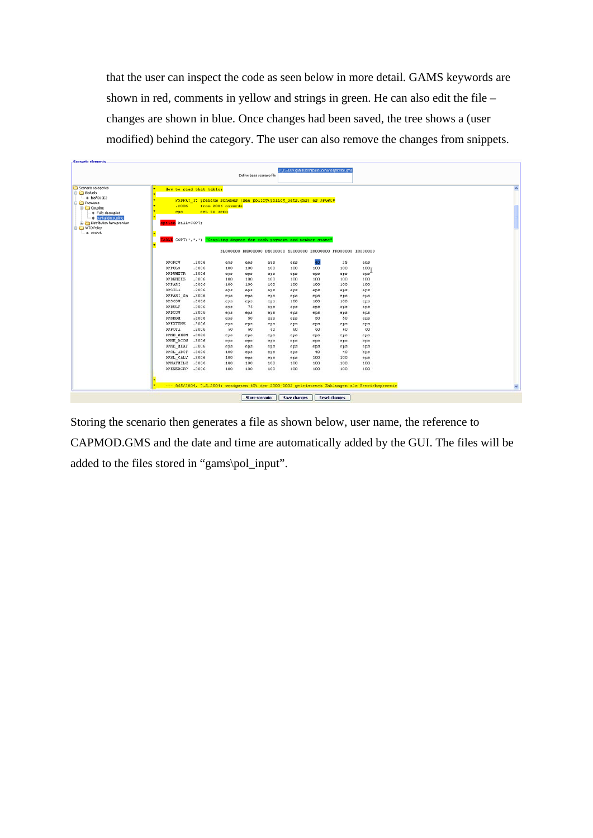that the user can inspect the code as seen below in more detail. GAMS keywords are shown in red, comments in yellow and strings in green. He can also edit the file – changes are shown in blue. Once changes had been saved, the tree shows a (user modified) behind the category. The user can also remove the changes from snippets.

| Scenario categories<br><b>Biofuels</b>                                 | How to read that table:                                               |                                                                  |                   |              |     |     |      |                                                                |                                                                                               |  |
|------------------------------------------------------------------------|-----------------------------------------------------------------------|------------------------------------------------------------------|-------------------|--------------|-----|-----|------|----------------------------------------------------------------|-----------------------------------------------------------------------------------------------|--|
| $ \bullet$ biof D10E2<br><b>Premiums</b>                               |                                                                       | PSDPAY T: premium schemes (see policy\policy Sets.cms) as DPGRCU |                   |              |     |     |      |                                                                |                                                                                               |  |
| <b>B</b> Coupling                                                      | ,2006                                                                 |                                                                  | from 2006 onwards |              |     |     |      |                                                                |                                                                                               |  |
| . Cally decoupled                                                      | eps                                                                   | set to sero                                                      |                   |              |     |     |      |                                                                |                                                                                               |  |
| partial decoupling<br>Distribution farm premium<br><b>C</b> WTO Policy | ption kill=COPT;                                                      |                                                                  |                   |              |     |     |      |                                                                |                                                                                               |  |
| - a wtohrb                                                             |                                                                       |                                                                  |                   |              |     |     |      |                                                                |                                                                                               |  |
|                                                                        | EABLE COPT(*,*,*) "Coupling degree for each payment and member state" |                                                                  |                   |              |     |     |      |                                                                |                                                                                               |  |
|                                                                        |                                                                       |                                                                  |                   |              |     |     |      |                                                                |                                                                                               |  |
|                                                                        |                                                                       |                                                                  |                   |              |     |     |      | BLOODDOO DKOOODOO DEOOODOO ELOOODOO ESOOODOO FROOOODO IROOOODO |                                                                                               |  |
|                                                                        | DPGRCU                                                                | .2006                                                            | eps               | eps          | eps | eps | 40   | 25                                                             | eps                                                                                           |  |
|                                                                        | DPPULS                                                                | .2006                                                            | 100               | 100          | 100 | 100 | 100  | 100                                                            | 100 <sub>T</sub>                                                                              |  |
|                                                                        | <b>DPDWHETR</b>                                                       | .2006                                                            | eps               | eps          | eps | eps | eps  | eps                                                            | eps'                                                                                          |  |
|                                                                        | <b>DPDUHEES</b>                                                       | .2006                                                            | 100               | 100          | 100 | 100 | 100  | 100                                                            | 100                                                                                           |  |
|                                                                        | <b>DPPARI</b>                                                         | .2006                                                            | 100               | 100          | 100 | 100 | 100  | 100                                                            | 100                                                                                           |  |
|                                                                        | <b>DPSILA</b>                                                         | .2006                                                            | eps               | ep3          | eps | eps | eps  | eps                                                            | eps                                                                                           |  |
|                                                                        | DPPARI fa                                                             | .2006                                                            | eps               | eps          | eps | eps | eps  | eps                                                            | eps                                                                                           |  |
|                                                                        | DPSCOW                                                                | .2006                                                            | eps               | eps          | eps | 100 | 100  | 100                                                            | eps                                                                                           |  |
|                                                                        | <b>DPBULF</b>                                                         | .2006                                                            | eps               | 75           | eps | eps | eps  | eps                                                            | eps                                                                                           |  |
|                                                                        | DPDCOW                                                                | .2006                                                            | eps               | eps          | eps | eps | epB  | eps                                                            | eps                                                                                           |  |
|                                                                        | <b>DPSHGM</b>                                                         | .2006                                                            | eps               | $50^{\circ}$ | eps | eps | 50   | 50                                                             | eps                                                                                           |  |
|                                                                        | <b>DPEXTENS</b>                                                       | .2006                                                            | eps               | eps          | eps | eps | eps. | eps                                                            | eps                                                                                           |  |
|                                                                        | <b>DPPOTA</b>                                                         | .2006                                                            | 60                | 60           | 60  | 60  | 60   | 60                                                             | 60                                                                                            |  |
|                                                                        | DPNE SHGM                                                             | .2006                                                            | eps               | eps          | eps | eps | eps  | eps                                                            | eps                                                                                           |  |
|                                                                        | DPNE DCOM                                                             | .2006                                                            | eps               | eps          | eps | eps | eps  | eps                                                            | eps                                                                                           |  |
|                                                                        | DPNE MEAT                                                             | .2006                                                            | eps               | eps          | eps | eps | eps  | eps                                                            | eps                                                                                           |  |
|                                                                        | DPSL_ADCT                                                             | .2006                                                            | 100               | eps          | eps | eps | 40   | 40                                                             | epz                                                                                           |  |
|                                                                        | DPSL CALV                                                             | .2006                                                            | 100               | eps.         | eps | eps | 100  | 100                                                            | eps                                                                                           |  |
|                                                                        | <b>DPNATHILE</b>                                                      | .2006                                                            | 100               | 100          | 100 | 100 | 100  | 100                                                            | 100                                                                                           |  |
|                                                                        | DPENERCRP                                                             | .2006                                                            | 100 <sup>1</sup>  | 100          | 100 | 100 | 100  | 100                                                            | 100                                                                                           |  |
|                                                                        |                                                                       |                                                                  |                   |              |     |     |      |                                                                |                                                                                               |  |
|                                                                        |                                                                       |                                                                  |                   |              |     |     |      |                                                                | --- 865/2004, 7.5.2004: wenigsten 60% der 2000-2002 geleisteten Zahlungen als Betriebspraemie |  |

Storing the scenario then generates a file as shown below, user name, the reference to CAPMOD.GMS and the date and time are automatically added by the GUI. The files will be added to the files stored in "gams\pol\_input".